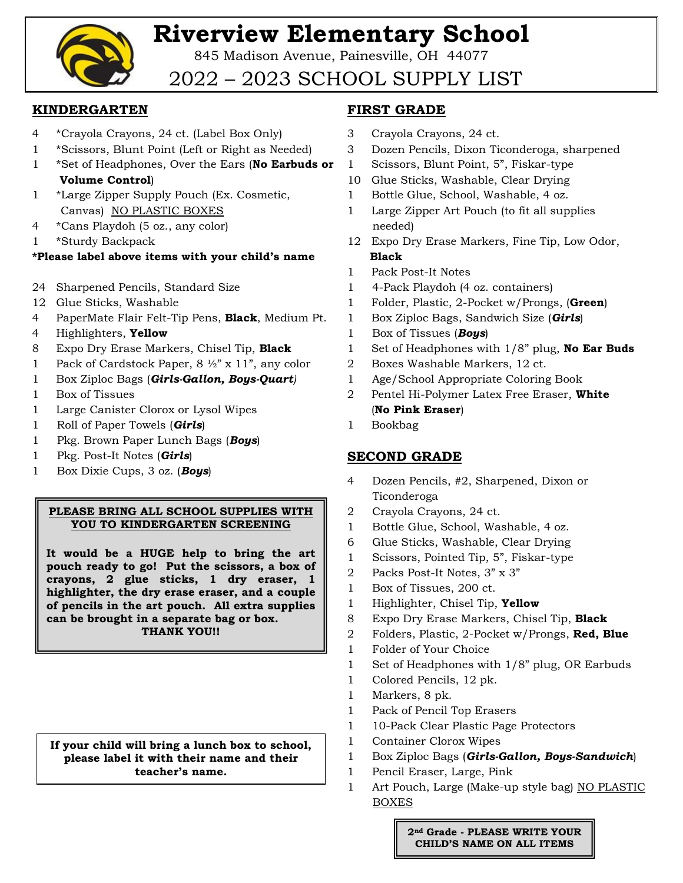

# **Riverview Elementary School**

845 Madison Avenue, Painesville, OH 44077

## 2022 – 2023 SCHOOL SUPPLY LIST

#### **KINDERGARTEN**

- 4 \*Crayola Crayons, 24 ct. (Label Box Only)
- 1 \*Scissors, Blunt Point (Left or Right as Needed)
- 1 \*Set of Headphones, Over the Ears (**No Earbuds or Volume Control**)
- 1 \*Large Zipper Supply Pouch (Ex. Cosmetic, Canvas) NO PLASTIC BOXES
- 4 \*Cans Playdoh (5 oz., any color)
- 1 \*Sturdy Backpack

#### **\*Please label above items with your child's name**

- 24 Sharpened Pencils, Standard Size
- 12 Glue Sticks, Washable
- 4 PaperMate Flair Felt-Tip Pens, **Black**, Medium Pt.
- 4 Highlighters, **Yellow**
- 8 Expo Dry Erase Markers, Chisel Tip, **Black**
- 1 Pack of Cardstock Paper, 8 ½" x 11", any color
- 1 Box Ziploc Bags (*Girls-Gallon, Boys-Quart)*
- 1 Box of Tissues
- 1 Large Canister Clorox or Lysol Wipes
- 1 Roll of Paper Towels (*Girls*)
- 1 Pkg. Brown Paper Lunch Bags (*Boys*)
- 1 Pkg. Post-It Notes (*Girls*)
- 1 Box Dixie Cups, 3 oz. (*Boys*)

#### **PLEASE BRING ALL SCHOOL SUPPLIES WITH YOU TO KINDERGARTEN SCREENING**

**It would be a HUGE help to bring the art pouch ready to go! Put the scissors, a box of crayons, 2 glue sticks, 1 dry eraser, 1 highlighter, the dry erase eraser, and a couple of pencils in the art pouch. All extra supplies can be brought in a separate bag or box. THANK YOU!!**

**If your child will bring a lunch box to school, please label it with their name and their teacher's name.**

### **FIRST GRADE**

- 3 Crayola Crayons, 24 ct.
- 3 Dozen Pencils, Dixon Ticonderoga, sharpened
- 1 Scissors, Blunt Point, 5", Fiskar-type
- 10 Glue Sticks, Washable, Clear Drying
- 1 Bottle Glue, School, Washable, 4 oz.
- 1 Large Zipper Art Pouch (to fit all supplies needed)
- 12 Expo Dry Erase Markers, Fine Tip, Low Odor,  **Black**
- 1 Pack Post-It Notes
- 1 4-Pack Playdoh (4 oz. containers)
- 1 Folder, Plastic, 2-Pocket w/Prongs, (**Green**)
- 1 Box Ziploc Bags, Sandwich Size (*Girls*)
- 1 Box of Tissues (*Boys*)
- 1 Set of Headphones with 1/8" plug, **No Ear Buds**
- 2 Boxes Washable Markers, 12 ct.
- 1 Age/School Appropriate Coloring Book
- 2 Pentel Hi-Polymer Latex Free Eraser, **White** (**No Pink Eraser**)
- 1 Bookbag

### **SECOND GRADE**

- 4 Dozen Pencils, #2, Sharpened, Dixon or Ticonderoga
- 2 Crayola Crayons, 24 ct.
- 1 Bottle Glue, School, Washable, 4 oz.
- 6 Glue Sticks, Washable, Clear Drying
- 1 Scissors, Pointed Tip, 5", Fiskar-type
- 2 Packs Post-It Notes, 3" x 3"
- 1 Box of Tissues, 200 ct.
- 1 Highlighter, Chisel Tip, **Yellow**
- 8 Expo Dry Erase Markers, Chisel Tip, **Black**
- 2 Folders, Plastic, 2-Pocket w/Prongs, **Red, Blue**
- 1 Folder of Your Choice
- 1 Set of Headphones with 1/8" plug, OR Earbuds
- 1 Colored Pencils, 12 pk.
- 1 Markers, 8 pk.
- 1 Pack of Pencil Top Erasers
- 1 10-Pack Clear Plastic Page Protectors
- 1 Container Clorox Wipes
- 1 Box Ziploc Bags (*Girls-Gallon, Boys-Sandwich*)
- 1 Pencil Eraser, Large, Pink
- 1 Art Pouch, Large (Make-up style bag) NO PLASTIC BOXES

**2nd Grade - PLEASE WRITE YOUR CHILD'S NAME ON ALL ITEMS**